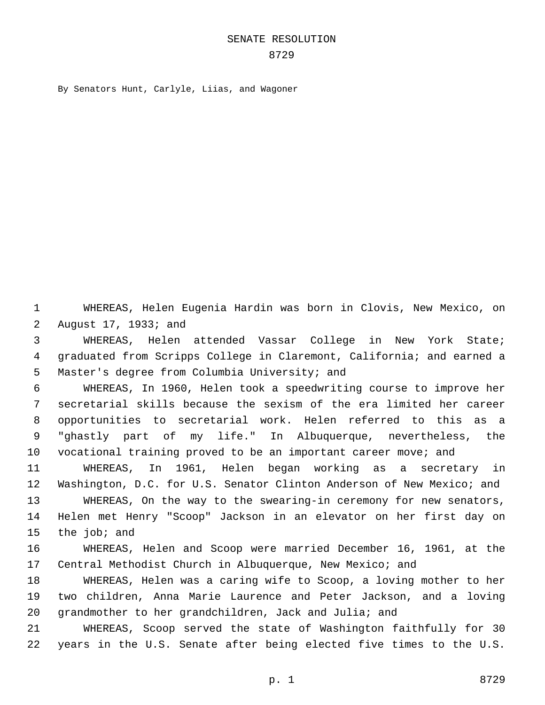## SENATE RESOLUTION

By Senators Hunt, Carlyle, Liias, and Wagoner

 WHEREAS, Helen Eugenia Hardin was born in Clovis, New Mexico, on 2 August 17, 1933; and

 WHEREAS, Helen attended Vassar College in New York State; graduated from Scripps College in Claremont, California; and earned a 5 Master's degree from Columbia University; and

 WHEREAS, In 1960, Helen took a speedwriting course to improve her secretarial skills because the sexism of the era limited her career opportunities to secretarial work. Helen referred to this as a "ghastly part of my life." In Albuquerque, nevertheless, the vocational training proved to be an important career move; and

 WHEREAS, In 1961, Helen began working as a secretary in Washington, D.C. for U.S. Senator Clinton Anderson of New Mexico; and

 WHEREAS, On the way to the swearing-in ceremony for new senators, Helen met Henry "Scoop" Jackson in an elevator on her first day on 15 the job; and

 WHEREAS, Helen and Scoop were married December 16, 1961, at the Central Methodist Church in Albuquerque, New Mexico; and

 WHEREAS, Helen was a caring wife to Scoop, a loving mother to her two children, Anna Marie Laurence and Peter Jackson, and a loving grandmother to her grandchildren, Jack and Julia; and

 WHEREAS, Scoop served the state of Washington faithfully for 30 years in the U.S. Senate after being elected five times to the U.S.

p. 1 8729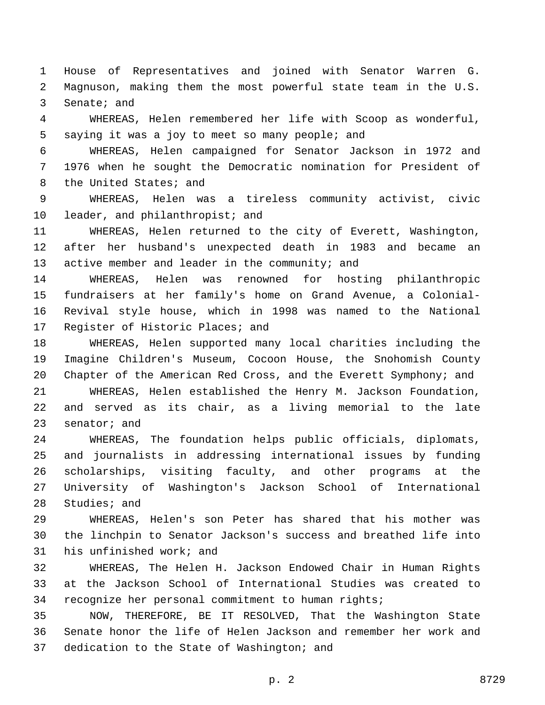House of Representatives and joined with Senator Warren G. Magnuson, making them the most powerful state team in the U.S. 3 Senate; and

 WHEREAS, Helen remembered her life with Scoop as wonderful, 5 saying it was a joy to meet so many people; and

 WHEREAS, Helen campaigned for Senator Jackson in 1972 and 1976 when he sought the Democratic nomination for President of 8 the United States; and

 WHEREAS, Helen was a tireless community activist, civic 10 leader, and philanthropist; and

 WHEREAS, Helen returned to the city of Everett, Washington, after her husband's unexpected death in 1983 and became an 13 active member and leader in the community; and

 WHEREAS, Helen was renowned for hosting philanthropic fundraisers at her family's home on Grand Avenue, a Colonial- Revival style house, which in 1998 was named to the National 17 Register of Historic Places; and

 WHEREAS, Helen supported many local charities including the Imagine Children's Museum, Cocoon House, the Snohomish County Chapter of the American Red Cross, and the Everett Symphony; and WHEREAS, Helen established the Henry M. Jackson Foundation, and served as its chair, as a living memorial to the late senator; and

 WHEREAS, The foundation helps public officials, diplomats, and journalists in addressing international issues by funding scholarships, visiting faculty, and other programs at the University of Washington's Jackson School of International 28 Studies; and

 WHEREAS, Helen's son Peter has shared that his mother was the linchpin to Senator Jackson's success and breathed life into 31 his unfinished work; and

 WHEREAS, The Helen H. Jackson Endowed Chair in Human Rights at the Jackson School of International Studies was created to recognize her personal commitment to human rights;

 NOW, THEREFORE, BE IT RESOLVED, That the Washington State Senate honor the life of Helen Jackson and remember her work and 37 dedication to the State of Washington; and